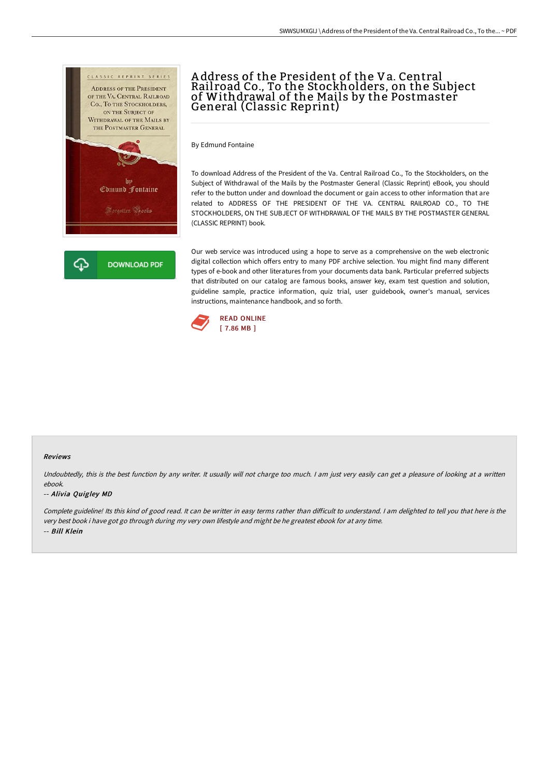

# A ddress of the President of the Va. Central Rail road Co., To the Stockholders, on the Subject of Withdrawal of the Mails by the Postmaster General (Classic Reprint)

By Edmund Fontaine

To download Address of the President of the Va. Central Railroad Co., To the Stockholders, on the Subject of Withdrawal of the Mails by the Postmaster General (Classic Reprint) eBook, you should refer to the button under and download the document or gain access to other information that are related to ADDRESS OF THE PRESIDENT OF THE VA. CENTRAL RAILROAD CO., TO THE STOCKHOLDERS, ON THE SUBJECT OF WITHDRAWAL OF THE MAILS BY THE POSTMASTER GENERAL (CLASSIC REPRINT) book.

Our web service was introduced using a hope to serve as a comprehensive on the web electronic digital collection which offers entry to many PDF archive selection. You might find many different types of e-book and other literatures from your documents data bank. Particular preferred subjects that distributed on our catalog are famous books, answer key, exam test question and solution, guideline sample, practice information, quiz trial, user guidebook, owner's manual, services instructions, maintenance handbook, and so forth.



### Reviews

Undoubtedly, this is the best function by any writer. It usually will not charge too much. I am just very easily can get a pleasure of looking at a written ebook.

### -- Alivia Quigley MD

Complete guideline! Its this kind of good read. It can be writter in easy terms rather than difficult to understand. I am delighted to tell you that here is the very best book i have got go through during my very own lifestyle and might be he greatest ebook for at any time. -- Bill Klein